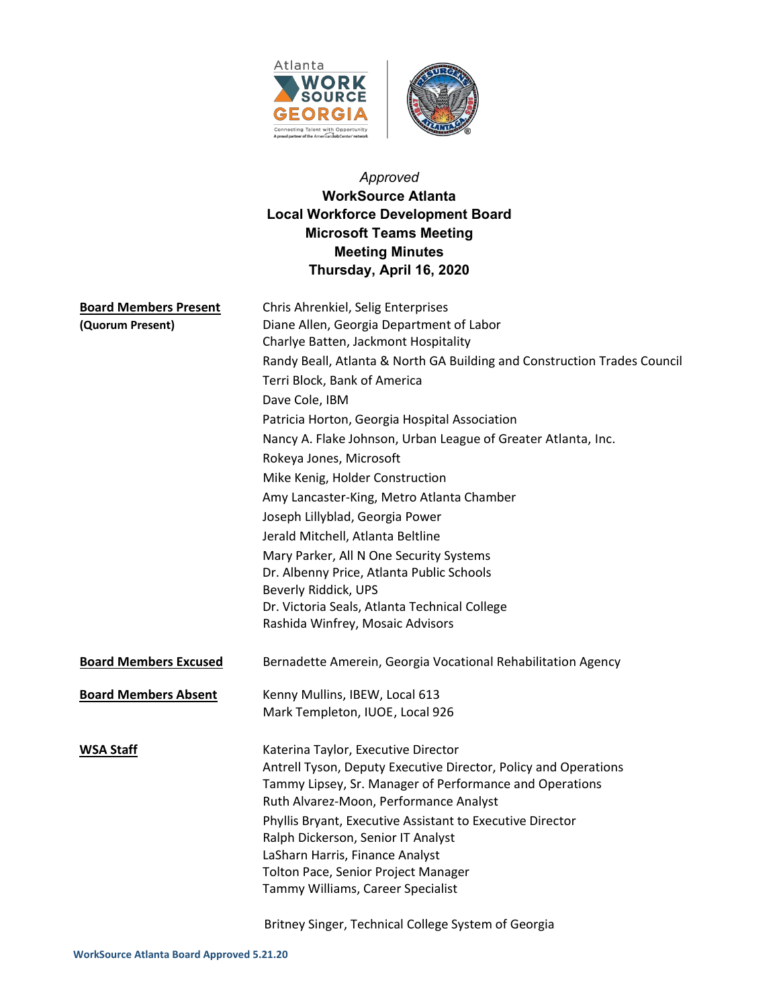

# *Approved* **WorkSource Atlanta Local Workforce Development Board Microsoft Teams Meeting Meeting Minutes Thursday, April 16, 2020**

| <b>Board Members Present</b><br>(Quorum Present) | Chris Ahrenkiel, Selig Enterprises<br>Diane Allen, Georgia Department of Labor<br>Charlye Batten, Jackmont Hospitality<br>Randy Beall, Atlanta & North GA Building and Construction Trades Council<br>Terri Block, Bank of America<br>Dave Cole, IBM<br>Patricia Horton, Georgia Hospital Association<br>Nancy A. Flake Johnson, Urban League of Greater Atlanta, Inc.<br>Rokeya Jones, Microsoft<br>Mike Kenig, Holder Construction<br>Amy Lancaster-King, Metro Atlanta Chamber<br>Joseph Lillyblad, Georgia Power<br>Jerald Mitchell, Atlanta Beltline<br>Mary Parker, All N One Security Systems<br>Dr. Albenny Price, Atlanta Public Schools<br>Beverly Riddick, UPS<br>Dr. Victoria Seals, Atlanta Technical College<br>Rashida Winfrey, Mosaic Advisors |
|--------------------------------------------------|----------------------------------------------------------------------------------------------------------------------------------------------------------------------------------------------------------------------------------------------------------------------------------------------------------------------------------------------------------------------------------------------------------------------------------------------------------------------------------------------------------------------------------------------------------------------------------------------------------------------------------------------------------------------------------------------------------------------------------------------------------------|
| <b>Board Members Excused</b>                     | Bernadette Amerein, Georgia Vocational Rehabilitation Agency                                                                                                                                                                                                                                                                                                                                                                                                                                                                                                                                                                                                                                                                                                   |
| <b>Board Members Absent</b>                      | Kenny Mullins, IBEW, Local 613<br>Mark Templeton, IUOE, Local 926                                                                                                                                                                                                                                                                                                                                                                                                                                                                                                                                                                                                                                                                                              |
| <b>WSA Staff</b>                                 | Katerina Taylor, Executive Director<br>Antrell Tyson, Deputy Executive Director, Policy and Operations<br>Tammy Lipsey, Sr. Manager of Performance and Operations<br>Ruth Alvarez-Moon, Performance Analyst<br>Phyllis Bryant, Executive Assistant to Executive Director<br>Ralph Dickerson, Senior IT Analyst<br>LaSharn Harris, Finance Analyst<br>Tolton Pace, Senior Project Manager<br>Tammy Williams, Career Specialist                                                                                                                                                                                                                                                                                                                                  |

Britney Singer, Technical College System of Georgia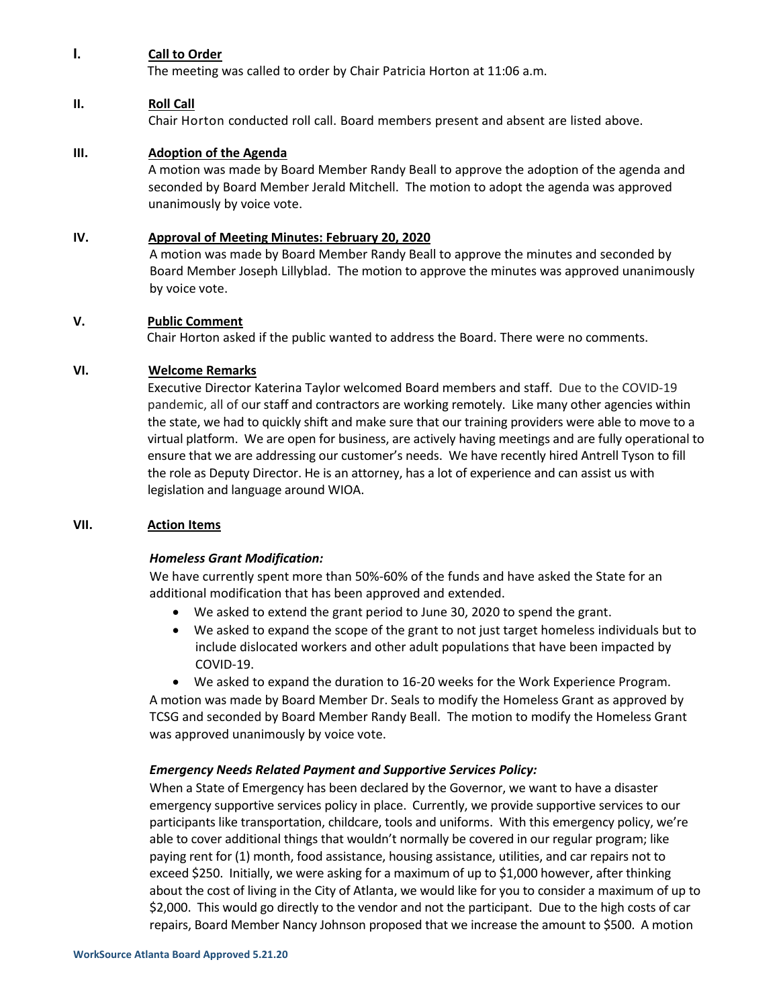#### **I. Call to Order**

The meeting was called to order by Chair Patricia Horton at 11:06 a.m.

#### **II. Roll Call**

Chair Horton conducted roll call. Board members present and absent are listed above.

#### **III. Adoption of the Agenda**

A motion was made by Board Member Randy Beall to approve the adoption of the agenda and seconded by Board Member Jerald Mitchell. The motion to adopt the agenda was approved unanimously by voice vote.

#### **IV. Approval of Meeting Minutes: February 20, 2020**

A motion was made by Board Member Randy Beall to approve the minutes and seconded by Board Member Joseph Lillyblad. The motion to approve the minutes was approved unanimously by voice vote.

#### **V. Public Comment**

Chair Horton asked if the public wanted to address the Board. There were no comments.

#### **VI. Welcome Remarks**

Executive Director Katerina Taylor welcomed Board members and staff. Due to the COVID-19 pandemic, all of our staff and contractors are working remotely. Like many other agencies within the state, we had to quickly shift and make sure that our training providers were able to move to a virtual platform. We are open for business, are actively having meetings and are fully operational to ensure that we are addressing our customer's needs. We have recently hired Antrell Tyson to fill the role as Deputy Director. He is an attorney, has a lot of experience and can assist us with legislation and language around WIOA.

#### **VII. Action Items**

#### *Homeless Grant Modification:*

We have currently spent more than 50%-60% of the funds and have asked the State for an additional modification that has been approved and extended.

- We asked to extend the grant period to June 30, 2020 to spend the grant.
- We asked to expand the scope of the grant to not just target homeless individuals but to include dislocated workers and other adult populations that have been impacted by COVID-19.
- We asked to expand the duration to 16-20 weeks for the Work Experience Program.

A motion was made by Board Member Dr. Seals to modify the Homeless Grant as approved by TCSG and seconded by Board Member Randy Beall. The motion to modify the Homeless Grant was approved unanimously by voice vote.

#### *Emergency Needs Related Payment and Supportive Services Policy:*

When a State of Emergency has been declared by the Governor, we want to have a disaster emergency supportive services policy in place. Currently, we provide supportive services to our participants like transportation, childcare, tools and uniforms. With this emergency policy, we're able to cover additional things that wouldn't normally be covered in our regular program; like paying rent for (1) month, food assistance, housing assistance, utilities, and car repairs not to exceed \$250. Initially, we were asking for a maximum of up to \$1,000 however, after thinking about the cost of living in the City of Atlanta, we would like for you to consider a maximum of up to \$2,000. This would go directly to the vendor and not the participant. Due to the high costs of car repairs, Board Member Nancy Johnson proposed that we increase the amount to \$500. A motion